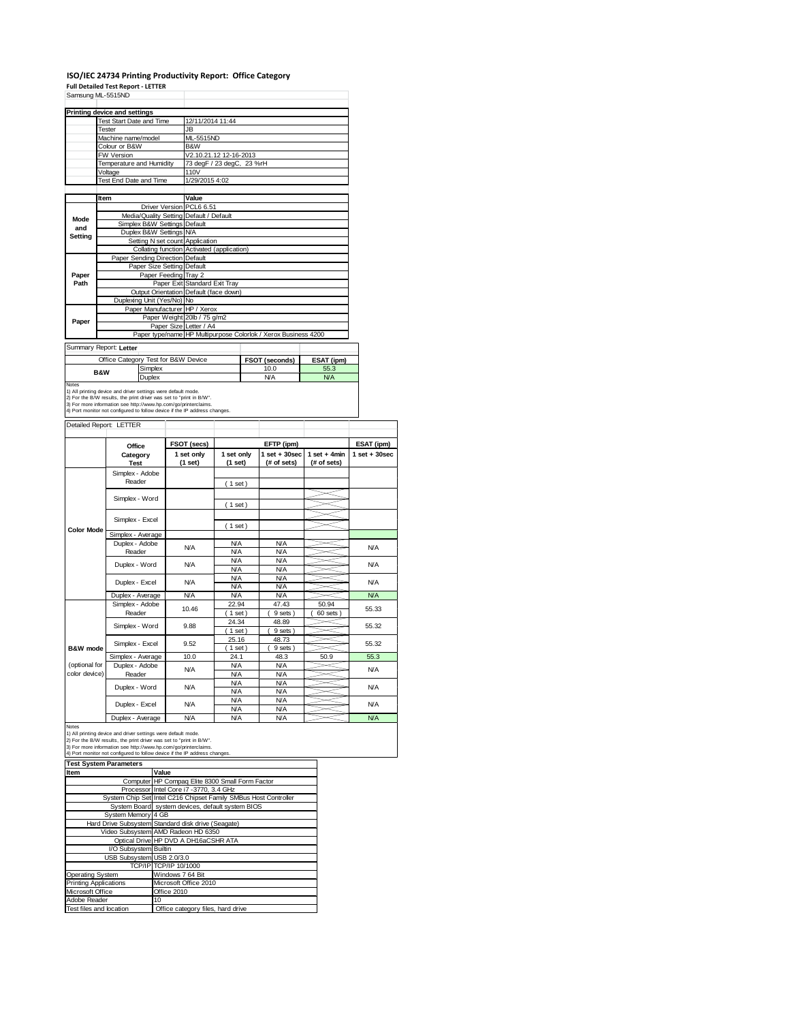# **ISO/IEC 24734 Printing Productivity Report: Office Category Full Detailed Test Report ‐ LETTER**

|               | Samsung ML-5515ND                   |                                                                                                                                                                                                         |                                                                            |                                                                |            |  |  |
|---------------|-------------------------------------|---------------------------------------------------------------------------------------------------------------------------------------------------------------------------------------------------------|----------------------------------------------------------------------------|----------------------------------------------------------------|------------|--|--|
|               | <b>Printing device and settings</b> |                                                                                                                                                                                                         |                                                                            |                                                                |            |  |  |
|               | Test Start Date and Time            |                                                                                                                                                                                                         | 12/11/2014 11:44                                                           |                                                                |            |  |  |
|               | Tester                              |                                                                                                                                                                                                         | JB.                                                                        |                                                                |            |  |  |
|               | Machine name/model                  |                                                                                                                                                                                                         | ML-5515ND                                                                  |                                                                |            |  |  |
|               | Colour or B&W                       |                                                                                                                                                                                                         | B&W                                                                        |                                                                |            |  |  |
|               | <b>FW Version</b>                   |                                                                                                                                                                                                         | V2.10.21.12 12-16-2013                                                     |                                                                |            |  |  |
|               | Temperature and Humidity            |                                                                                                                                                                                                         | 73 degF / 23 degC, 23 %rH                                                  |                                                                |            |  |  |
|               | Voltage                             |                                                                                                                                                                                                         | 110V                                                                       |                                                                |            |  |  |
|               | Test End Date and Time              |                                                                                                                                                                                                         | 1/29/2015 4:02                                                             |                                                                |            |  |  |
|               |                                     |                                                                                                                                                                                                         |                                                                            |                                                                |            |  |  |
|               | Item                                |                                                                                                                                                                                                         | Value                                                                      |                                                                |            |  |  |
|               |                                     | Driver Version PCL6 6.51                                                                                                                                                                                |                                                                            |                                                                |            |  |  |
| Mode          |                                     |                                                                                                                                                                                                         | Media/Quality Setting Default / Default                                    |                                                                |            |  |  |
| and           |                                     | Simplex B&W Settings Default                                                                                                                                                                            |                                                                            |                                                                |            |  |  |
| Setting       |                                     | Duplex B&W Settings N/A                                                                                                                                                                                 |                                                                            |                                                                |            |  |  |
|               |                                     | Setting N set count Application                                                                                                                                                                         | Collating function Activated (application)                                 |                                                                |            |  |  |
|               |                                     |                                                                                                                                                                                                         |                                                                            |                                                                |            |  |  |
|               |                                     | Paper Sending Direction Default                                                                                                                                                                         |                                                                            |                                                                |            |  |  |
|               |                                     | Paper Size Setting Default<br>Paper Feeding Tray 2                                                                                                                                                      |                                                                            |                                                                |            |  |  |
| Paper<br>Path |                                     |                                                                                                                                                                                                         | Paper Exit Standard Exit Tray                                              |                                                                |            |  |  |
|               |                                     |                                                                                                                                                                                                         | Output Orientation Default (face down)                                     |                                                                |            |  |  |
|               |                                     | Duplexing Unit (Yes/No) No                                                                                                                                                                              |                                                                            |                                                                |            |  |  |
|               |                                     | Paper Manufacturer HP / Xerox                                                                                                                                                                           |                                                                            |                                                                |            |  |  |
|               |                                     |                                                                                                                                                                                                         | Paper Weight 20lb / 75 g/m2                                                |                                                                |            |  |  |
| Paper         |                                     | Paper Size Letter / A4                                                                                                                                                                                  |                                                                            |                                                                |            |  |  |
|               |                                     |                                                                                                                                                                                                         |                                                                            | Paper type/name HP Multipurpose Colorlok / Xerox Business 4200 |            |  |  |
|               | Summary Report: Letter              |                                                                                                                                                                                                         |                                                                            |                                                                |            |  |  |
|               |                                     |                                                                                                                                                                                                         |                                                                            |                                                                |            |  |  |
|               |                                     | Office Category Test for B&W Device                                                                                                                                                                     |                                                                            | FSOT (seconds)                                                 | ESAT (ipm) |  |  |
|               | <b>B&amp;W</b>                      | Simplex                                                                                                                                                                                                 |                                                                            | 10.0                                                           | 55.3       |  |  |
|               |                                     | Duplex                                                                                                                                                                                                  |                                                                            | <b>N/A</b>                                                     | N/A        |  |  |
| <b>Notes</b>  |                                     | 1) All printing device and driver settings were default mode.<br>2) For the B/W results, the print driver was set to "print in B/W".<br>3) For more information see http://www.hp.com/go/printerclaims. | 4) Port monitor not configured to follow device if the IP address changes. |                                                                |            |  |  |

Detailed Report: LETTER

|                     | Office                  | FSOT (secs)           |                       | EFTP (ipm)                       |                               | ESAT (ipm)        |  |
|---------------------|-------------------------|-----------------------|-----------------------|----------------------------------|-------------------------------|-------------------|--|
|                     | Category<br><b>Test</b> | 1 set only<br>(1 set) | 1 set only<br>(1 set) | $1$ set $+30$ sec<br>(# of sets) | $1$ set + 4min<br>(# of sets) | $1$ set $+30$ sec |  |
|                     | Simplex - Adobe         |                       |                       |                                  |                               |                   |  |
|                     | Reader                  |                       | (1 set)               |                                  |                               |                   |  |
|                     |                         |                       |                       |                                  |                               |                   |  |
|                     | Simplex - Word          |                       | (1 set)               |                                  |                               |                   |  |
|                     |                         |                       |                       |                                  |                               |                   |  |
| <b>Color Mode</b>   | Simplex - Excel         |                       | (1 set)               |                                  |                               |                   |  |
|                     | Simplex - Average       |                       |                       |                                  |                               |                   |  |
|                     | Duplex - Adobe          | N/A                   | <b>N/A</b>            | <b>N/A</b>                       |                               | <b>N/A</b>        |  |
|                     | Reader                  |                       | <b>N/A</b>            | <b>N/A</b>                       |                               |                   |  |
|                     | Duplex - Word           | N/A                   | <b>N/A</b>            | <b>N/A</b>                       |                               | <b>N/A</b>        |  |
|                     |                         |                       | <b>N/A</b>            | <b>N/A</b>                       |                               |                   |  |
|                     | Duplex - Excel          | <b>N/A</b>            | <b>N/A</b>            | <b>N/A</b>                       |                               | <b>N/A</b>        |  |
|                     |                         |                       | <b>N/A</b>            | <b>N/A</b>                       |                               |                   |  |
|                     | Duplex - Average        | <b>N/A</b>            | <b>N/A</b>            | <b>N/A</b>                       |                               | N/A               |  |
|                     | Simplex - Adobe         | 10.46                 | 22.94                 | 47.43                            | 50.94                         | 55.33             |  |
|                     | Reader                  |                       | $1$ set)              | 9 sets                           | 60 sets                       |                   |  |
|                     | Simplex - Word          | 9.88                  | 24.34                 | 48.89                            |                               | 55.32             |  |
|                     |                         |                       | $1$ set)              | 9 sets)                          |                               |                   |  |
|                     | Simplex - Excel         | 9.52                  | 25.16                 | 48.73                            |                               | 55.32             |  |
| <b>B&amp;W</b> mode |                         |                       | 1 set                 | 9 sets                           |                               |                   |  |
|                     | Simplex - Average       | 10.0                  | 24.1                  | 48.3                             | 50.9                          | 55.3              |  |
| (optional for       | Duplex - Adobe          | <b>N/A</b>            | <b>N/A</b>            | <b>N/A</b>                       |                               | <b>N/A</b>        |  |
| color device)       | Reader                  |                       | <b>N/A</b>            | <b>N/A</b>                       |                               |                   |  |
|                     | Duplex - Word           | N/A                   | <b>N/A</b>            | <b>N/A</b>                       |                               | <b>N/A</b>        |  |
|                     |                         |                       | <b>N/A</b>            | <b>N/A</b>                       |                               |                   |  |
|                     | Duplex - Excel          | N/A                   | <b>N/A</b>            | <b>N/A</b>                       |                               | <b>N/A</b>        |  |
|                     |                         |                       | <b>N/A</b>            | <b>N/A</b>                       |                               |                   |  |
|                     | Duplex - Average        | <b>N/A</b>            | <b>N/A</b>            | <b>N/A</b>                       |                               | <b>N/A</b>        |  |

| <b>Test System Parameters</b> |                                                                 |
|-------------------------------|-----------------------------------------------------------------|
| Item                          | Value                                                           |
|                               | Computer HP Compaq Elite 8300 Small Form Factor                 |
|                               | Processor Intel Core i7 -3770, 3.4 GHz                          |
|                               | System Chip Set Intel C216 Chipset Family SMBus Host Controller |
|                               | System Board system devices, default system BIOS                |
| System Memory 4 GB            |                                                                 |
|                               | Hard Drive Subsystem Standard disk drive (Seagate)              |
|                               | Video Subsystem AMD Radeon HD 6350                              |
|                               | Optical Drive HP DVD A DH16aCSHR ATA                            |
| I/O Subsystem Builtin         |                                                                 |
| USB Subsystem USB 2.0/3.0     |                                                                 |
|                               | TCP/IP TCP/IP 10/1000                                           |
| Operating System              | Windows 7 64 Bit                                                |
| <b>Printing Applications</b>  | Microsoft Office 2010                                           |
| Microsoft Office              | Office 2010                                                     |
| Adobe Reader                  | 10                                                              |
| Test files and location       | Office category files, hard drive                               |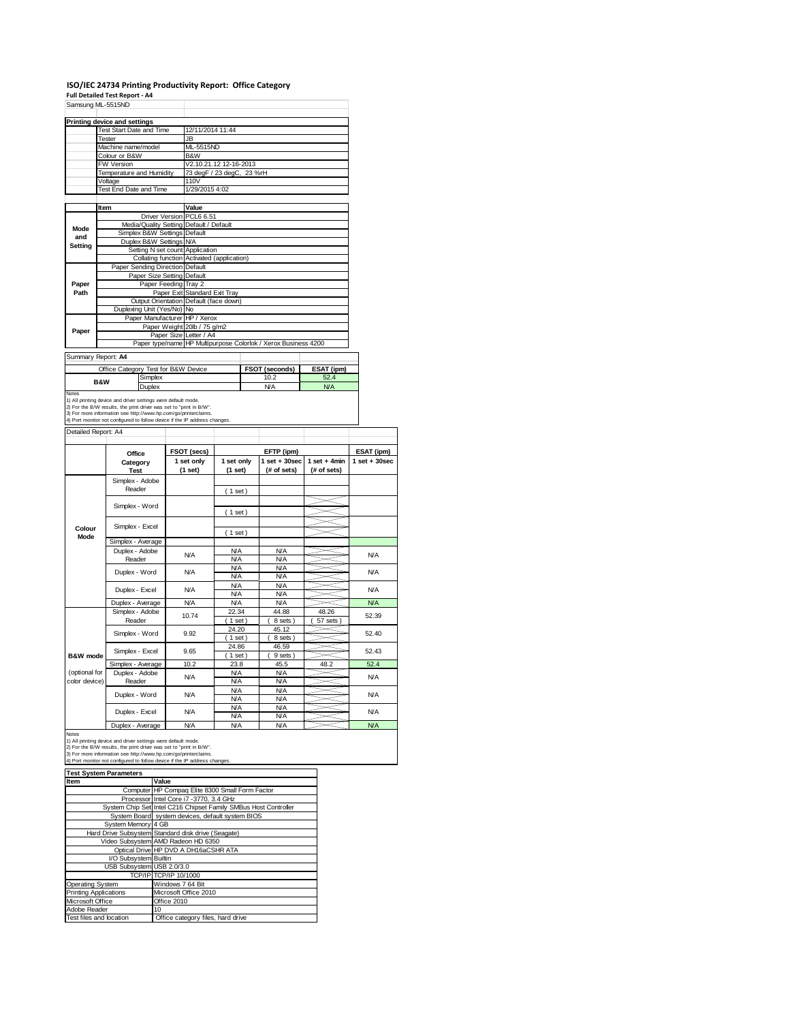### **ISO/IEC 24734 Printing Productivity Report: Office Category**

| Samsung ML-5515ND   |                |                                                                                                                                               |                        |                             |                          |                                                                |                |                   |
|---------------------|----------------|-----------------------------------------------------------------------------------------------------------------------------------------------|------------------------|-----------------------------|--------------------------|----------------------------------------------------------------|----------------|-------------------|
|                     |                |                                                                                                                                               |                        |                             |                          |                                                                |                |                   |
|                     |                | <b>Printing device and settings</b>                                                                                                           |                        |                             |                          |                                                                |                |                   |
|                     |                | <b>Test Start Date and Time</b>                                                                                                               |                        | 12/11/2014 11:44            |                          |                                                                |                |                   |
|                     | Tester         |                                                                                                                                               |                        | JB                          |                          |                                                                |                |                   |
|                     |                | Machine name/model                                                                                                                            |                        | ML-5515ND                   |                          |                                                                |                |                   |
|                     | Colour or B&W  |                                                                                                                                               |                        | B&W                         |                          |                                                                |                |                   |
|                     | FW Version     |                                                                                                                                               |                        | V2.10.21.12 12-16-2013      |                          |                                                                |                |                   |
|                     |                | Temperature and Humidity                                                                                                                      |                        | 73 degF / 23 degC, 23 %rH   |                          |                                                                |                |                   |
|                     | Voltage        | Test End Date and Time                                                                                                                        | 110V<br>1/29/2015 4:02 |                             |                          |                                                                |                |                   |
|                     |                |                                                                                                                                               |                        |                             |                          |                                                                |                |                   |
|                     | Item           |                                                                                                                                               |                        | Value                       |                          |                                                                |                |                   |
|                     |                |                                                                                                                                               |                        | Driver Version PCL6 6.51    |                          |                                                                |                |                   |
|                     |                | Media/Quality Setting Default / Default                                                                                                       |                        |                             |                          |                                                                |                |                   |
| Mode<br>and         |                | Simplex B&W Settings Default                                                                                                                  |                        |                             |                          |                                                                |                |                   |
| Setting             |                | Duplex B&W Settings N/A                                                                                                                       |                        |                             |                          |                                                                |                |                   |
|                     |                | Setting N set count Application                                                                                                               |                        |                             |                          |                                                                |                |                   |
|                     |                | Collating function Activated (application)                                                                                                    |                        |                             |                          |                                                                |                |                   |
|                     |                | Paper Sending Direction Default                                                                                                               |                        |                             |                          |                                                                |                |                   |
|                     |                | Paper Size Setting Default                                                                                                                    |                        |                             |                          |                                                                |                |                   |
| Paper<br>Path       |                | Paper Feeding Tray 2                                                                                                                          |                        |                             |                          |                                                                |                |                   |
|                     |                |                                                                                                                                               | Paper Exit             | <b>Standard Exit Tray</b>   |                          |                                                                |                |                   |
|                     |                | Output Orientation Default (face down)<br>Duplexing Unit (Yes/No) No                                                                          |                        |                             |                          |                                                                |                |                   |
|                     |                | Paper Manufacturer HP / Xerox                                                                                                                 |                        |                             |                          |                                                                |                |                   |
|                     |                |                                                                                                                                               |                        | Paper Weight 20lb / 75 g/m2 |                          |                                                                |                |                   |
| Paper               |                |                                                                                                                                               |                        | Paper Size Letter / A4      |                          |                                                                |                |                   |
|                     |                |                                                                                                                                               |                        |                             |                          | Paper type/name HP Multipurpose Colorlok / Xerox Business 4200 |                |                   |
|                     |                |                                                                                                                                               |                        |                             |                          |                                                                |                |                   |
| Summary Report: A4  |                |                                                                                                                                               |                        |                             |                          |                                                                |                |                   |
|                     |                | Office Category Test for B&W Device                                                                                                           |                        |                             |                          | FSOT (seconds)                                                 | ESAT (ipm)     |                   |
|                     | <b>B&amp;W</b> | Simplex                                                                                                                                       |                        |                             |                          | 10.2                                                           | 52.4           |                   |
| Notes               |                | Duplex                                                                                                                                        |                        |                             |                          | <b>N/A</b>                                                     | <b>N/A</b>     |                   |
|                     |                | 3) For more information see http://www.hp.com/go/printerclaims.<br>4) Port monitor not configured to follow device if the IP address changes. |                        |                             |                          |                                                                |                |                   |
| Detailed Report: A4 |                |                                                                                                                                               |                        |                             |                          |                                                                |                |                   |
|                     |                |                                                                                                                                               |                        |                             |                          |                                                                |                |                   |
|                     |                | Office                                                                                                                                        |                        | FSOT (secs)                 |                          | EFTP (ipm)                                                     |                | ESAT (ipm)        |
|                     |                | Category                                                                                                                                      |                        | 1 set only                  | 1 set only               | $1$ set $+30$ sec                                              | $1 set + 4min$ | $1$ set $+30$ sec |
|                     |                | Test                                                                                                                                          |                        | (1 set)                     | (1 set)                  | (# of sets)                                                    | (# of sets)    |                   |
|                     |                | Simplex - Adobe<br>Reader                                                                                                                     |                        |                             |                          |                                                                |                |                   |
|                     |                |                                                                                                                                               |                        |                             | (1 set)                  |                                                                |                |                   |
|                     |                | Simplex - Word                                                                                                                                |                        |                             |                          |                                                                |                |                   |
|                     |                |                                                                                                                                               |                        |                             | (1 set)                  |                                                                |                |                   |
| Colour              |                | Simplex - Excel                                                                                                                               |                        |                             |                          |                                                                |                |                   |
| Mode                |                |                                                                                                                                               |                        |                             | (1 set)                  |                                                                |                |                   |
|                     |                | Simplex - Average                                                                                                                             |                        |                             |                          |                                                                |                |                   |
|                     |                | Duplex - Adobe                                                                                                                                |                        | <b>N/A</b>                  | <b>N/A</b>               | <b>N/A</b>                                                     |                | <b>N/A</b>        |
|                     |                | Reader                                                                                                                                        |                        |                             | <b>N/A</b>               | <b>N/A</b>                                                     |                |                   |
|                     |                | Duplex - Word                                                                                                                                 |                        | N/A                         | <b>N/A</b>               | <b>N/A</b>                                                     |                | <b>N/A</b>        |
|                     |                |                                                                                                                                               |                        |                             | <b>N/A</b>               | <b>N/A</b>                                                     |                |                   |
|                     |                | Duplex - Excel                                                                                                                                |                        | N/A                         | <b>N/A</b>               | <b>N/A</b>                                                     |                | <b>N/A</b>        |
|                     |                |                                                                                                                                               |                        |                             | <b>N/A</b>               | <b>N/A</b><br><b>N/A</b>                                       |                |                   |
|                     |                | Duplex - Average<br>Simplex - Adobe                                                                                                           |                        | N/A                         | <b>N/A</b><br>22.34      | 44.88                                                          | 48.26          | <b>N/A</b>        |
|                     |                | Reader                                                                                                                                        |                        | 10.74                       | $1$ set)                 | 8 sets)                                                        | 57 sets)       | 52.39             |
|                     |                |                                                                                                                                               |                        |                             | 24.20                    | 45.12                                                          |                |                   |
|                     |                | Simplex - Word                                                                                                                                |                        | 9.92                        | (1 set )                 | 8 sets)                                                        |                | 52.40             |
|                     |                |                                                                                                                                               |                        |                             | 24.86                    | 46.59                                                          |                |                   |
| <b>B&amp;W</b> mode |                | Simplex - Excel                                                                                                                               |                        | 9.65                        | $1$ set)                 | 9 sets)                                                        |                | 52.43             |
|                     |                | Simplex - Average                                                                                                                             |                        | 10.2                        | 23.8                     | 45.5                                                           | 48.2           | 52.4              |
| (optional for       |                | Duplex - Adobe                                                                                                                                |                        |                             | <b>N/A</b>               | <b>N/A</b>                                                     |                |                   |
| color device)       |                | Reader                                                                                                                                        |                        | N/A                         | <b>N/A</b>               | <b>N/A</b>                                                     |                | <b>N/A</b>        |
|                     |                | Duplex - Word                                                                                                                                 |                        | <b>N/A</b>                  | <b>N/A</b>               | <b>N/A</b>                                                     |                | <b>N/A</b>        |
|                     |                |                                                                                                                                               |                        |                             | <b>N/A</b>               | <b>N/A</b>                                                     |                |                   |
|                     |                | Duplex - Excel                                                                                                                                |                        | <b>N/A</b>                  | <b>N/A</b>               | <b>N/A</b>                                                     |                | <b>N/A</b>        |
|                     |                | Duplex - Average                                                                                                                              |                        | N/A                         | <b>N/A</b><br><b>N/A</b> | <b>N/A</b><br><b>N/A</b>                                       |                | <b>N/A</b>        |

Notes<br>1) All printing device and driver settings were default mode.<br>2) For the B/W results, the print driver was set to "print in B/W".<br>3) For more information see http://www.hp.com/go/printerclaims.<br>4) Port monitor not co

**Item Value** Computer HP Compaq Elite 8300 Small Form Factor Processor Intel Core i7 -3770, 3.4 GHz<br>System Chip Set Intel C216 Chipset Family SMBus Host Controller System Board system devices, default system BIOS System Memory 4 GB Hard Drive Subsystem Standard disk drive (Seagate)<br>Video Subsystem AMD Radeon HD 6350<br>Optical Drive HP DVD A DH16aCSHR ATA<br>VO Subsystem Builtin<br>USB Subsystem USB 2.0/3.0 TCP/IP TCP/IP 10/1000 Operating System Windows 7 64 Bit Printing Applications Microsoft Office 2010 Microsoft Office **Office 2010** dobe Reader 10 Test files and location Office category files, hard drive **Test System Parameters**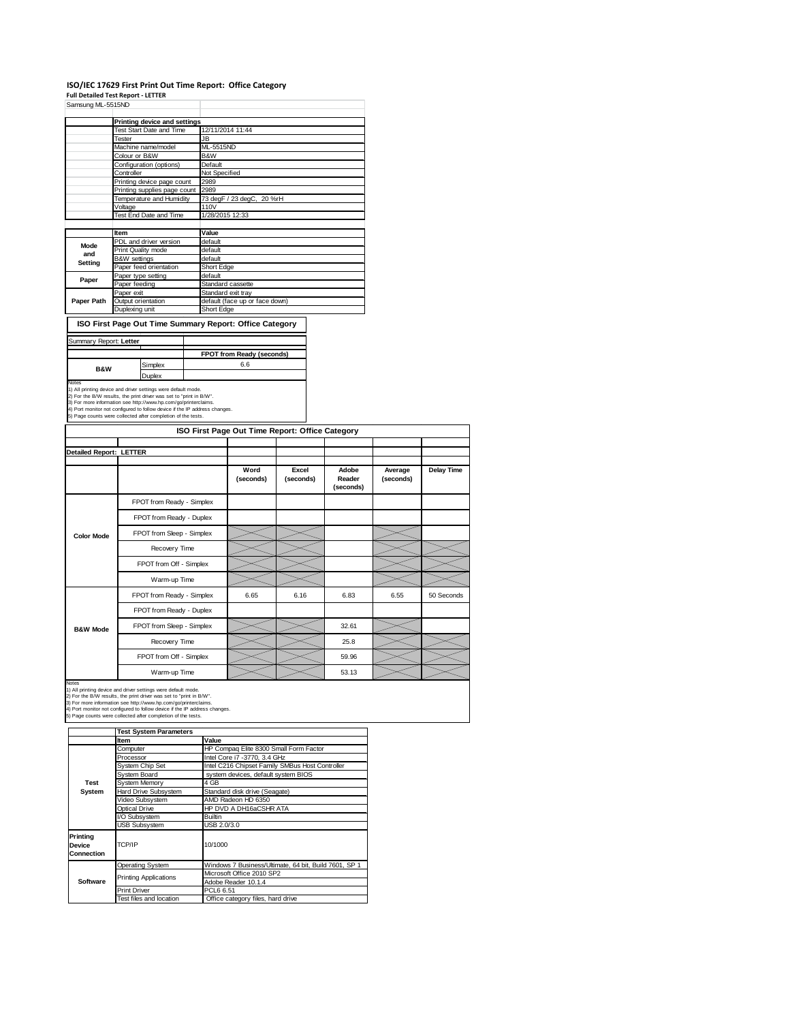## **ISO/IEC 17629 First Print Out Time Report: Office Category**

**Full Detailed Test Report ‐ LETTER**

| Samsung ML-5515ND |                              |                                                              |  |  |  |  |
|-------------------|------------------------------|--------------------------------------------------------------|--|--|--|--|
|                   | Printing device and settings |                                                              |  |  |  |  |
|                   | Test Start Date and Time     | 12/11/2014 11:44                                             |  |  |  |  |
|                   | Tester                       | JB.                                                          |  |  |  |  |
|                   | Machine name/model           | ML-5515ND                                                    |  |  |  |  |
|                   | Colour or B&W                | B&W                                                          |  |  |  |  |
|                   | Configuration (options)      | Default                                                      |  |  |  |  |
|                   | Controller                   | Not Specified                                                |  |  |  |  |
|                   | Printing device page count   | 2989                                                         |  |  |  |  |
|                   | Printing supplies page count | 2989<br>73 degF / 23 degC, 20 %rH<br>110V<br>1/28/2015 12:33 |  |  |  |  |
|                   | Temperature and Humidity     |                                                              |  |  |  |  |
|                   | Voltage                      |                                                              |  |  |  |  |
|                   | Test End Date and Time       |                                                              |  |  |  |  |
|                   |                              |                                                              |  |  |  |  |
|                   | Item                         | Value                                                        |  |  |  |  |
| Mode              | PDL and driver version       | default                                                      |  |  |  |  |
| and               | Print Quality mode           | default                                                      |  |  |  |  |
| Setting           | <b>B&amp;W</b> settings      | default                                                      |  |  |  |  |
|                   | Paper feed orientation       | Short Edge                                                   |  |  |  |  |
| Paper             | Paper type setting           | default                                                      |  |  |  |  |
|                   | Paper feeding                | Standard cassette                                            |  |  |  |  |
|                   | Paper exit                   | Standard exit tray                                           |  |  |  |  |
| Paper Path        | Output orientation           | default (face up or face down)                               |  |  |  |  |
|                   | Duplexing unit               | Short Edge                                                   |  |  |  |  |

# **ISO First Page Out Time Summary Report: Office Category**

| Summary Report: Letter |         |                           |
|------------------------|---------|---------------------------|
|                        |         | FPOT from Ready (seconds) |
| <b>B&amp;W</b>         | Simplex | 6.6                       |
|                        | Duplex  |                           |
| Notes                  |         |                           |

Notes<br>1) All printing device and driver settings were default mode.<br>2) For the B/W results, the print driver was set to "print in B/W".<br>3) For more information see http://www.hp.com/go/printerclaims.<br>4) Port monitor not co

|                                |                           | ISO First Page Out Time Report: Office Category |                    |                              |                      |                   |
|--------------------------------|---------------------------|-------------------------------------------------|--------------------|------------------------------|----------------------|-------------------|
| <b>Detailed Report: LETTER</b> |                           |                                                 |                    |                              |                      |                   |
|                                |                           | Word<br>(seconds)                               | Excel<br>(seconds) | Adobe<br>Reader<br>(seconds) | Average<br>(seconds) | <b>Delay Time</b> |
|                                | FPOT from Ready - Simplex |                                                 |                    |                              |                      |                   |
|                                | FPOT from Ready - Duplex  |                                                 |                    |                              |                      |                   |
| <b>Color Mode</b>              | FPOT from Sleep - Simplex |                                                 |                    |                              |                      |                   |
|                                | Recovery Time             |                                                 |                    |                              |                      |                   |
|                                | FPOT from Off - Simplex   |                                                 |                    |                              |                      |                   |
|                                | Warm-up Time              |                                                 |                    |                              |                      |                   |
|                                | FPOT from Ready - Simplex | 6.65                                            | 6.16               | 6.83                         | 6.55                 | 50 Seconds        |
|                                | FPOT from Ready - Duplex  |                                                 |                    |                              |                      |                   |
| <b>B&amp;W Mode</b>            | FPOT from Sleep - Simplex |                                                 |                    | 32.61                        |                      |                   |
|                                | Recovery Time             |                                                 |                    | 25.8                         |                      |                   |
|                                | FPOT from Off - Simplex   |                                                 |                    | 59.96                        |                      |                   |
|                                | Warm-up Time              |                                                 |                    | 53.13                        |                      |                   |

Notes<br>1) All printing device and driver settings were default mode.<br>2) For the B/W results, the print driver was set to "print in B/W".<br>3) For more information see http://www.hp.com/go/printerclaims.<br>4) Port monitor not co

|             | <b>Test System Parameters</b> |                                                       |  |  |  |  |
|-------------|-------------------------------|-------------------------------------------------------|--|--|--|--|
|             | <b>Item</b>                   | Value                                                 |  |  |  |  |
|             | Computer                      | HP Compaq Elite 8300 Small Form Factor                |  |  |  |  |
|             | Processor                     | Intel Core i7 -3770, 3.4 GHz                          |  |  |  |  |
|             | System Chip Set               | Intel C216 Chipset Family SMBus Host Controller       |  |  |  |  |
|             | Svstem Board                  | system devices, default system BIOS                   |  |  |  |  |
| <b>Test</b> | System Memory                 | 4 GB                                                  |  |  |  |  |
| System      | Hard Drive Subsystem          | Standard disk drive (Seagate)                         |  |  |  |  |
|             | Video Subsystem               | AMD Radeon HD 6350                                    |  |  |  |  |
|             | Optical Drive                 | HP DVD A DH16aCSHR ATA                                |  |  |  |  |
|             | I/O Subsystem                 | Builtin                                               |  |  |  |  |
|             | <b>USB Subsystem</b>          | USB 2.0/3.0                                           |  |  |  |  |
| Printing    |                               |                                                       |  |  |  |  |
| Device      | TCP/IP                        | 10/1000                                               |  |  |  |  |
| Connection  |                               |                                                       |  |  |  |  |
|             | Operating System              | Windows 7 Business/Ultimate, 64 bit, Build 7601, SP 1 |  |  |  |  |
|             |                               | Microsoft Office 2010 SP2                             |  |  |  |  |
| Software    | <b>Printing Applications</b>  | Adobe Reader 10.1.4                                   |  |  |  |  |
|             | <b>Print Driver</b>           | PCL6 6.51                                             |  |  |  |  |
|             | Test files and location       | Office category files, hard drive                     |  |  |  |  |